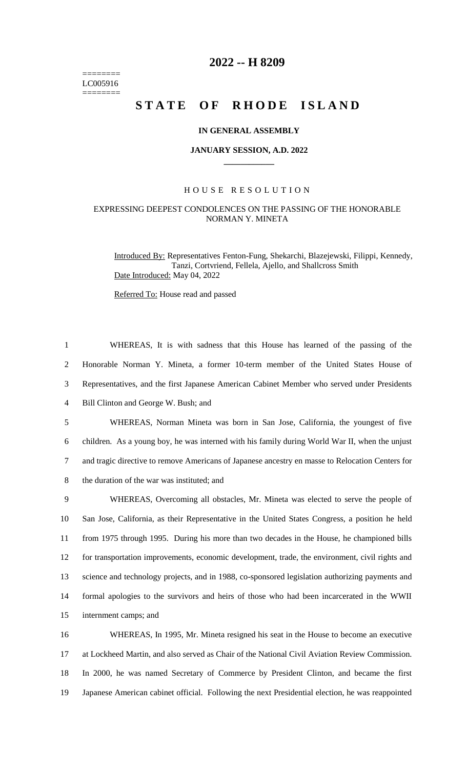======== LC005916 ========

## **2022 -- H 8209**

# STATE OF RHODE ISLAND

#### **IN GENERAL ASSEMBLY**

#### **JANUARY SESSION, A.D. 2022 \_\_\_\_\_\_\_\_\_\_\_\_**

#### H O U S E R E S O L U T I O N

### EXPRESSING DEEPEST CONDOLENCES ON THE PASSING OF THE HONORABLE NORMAN Y. MINETA

Introduced By: Representatives Fenton-Fung, Shekarchi, Blazejewski, Filippi, Kennedy, Tanzi, Cortvriend, Fellela, Ajello, and Shallcross Smith Date Introduced: May 04, 2022

Referred To: House read and passed

 WHEREAS, It is with sadness that this House has learned of the passing of the Honorable Norman Y. Mineta, a former 10-term member of the United States House of Representatives, and the first Japanese American Cabinet Member who served under Presidents Bill Clinton and George W. Bush; and WHEREAS, Norman Mineta was born in San Jose, California, the youngest of five children. As a young boy, he was interned with his family during World War II, when the unjust and tragic directive to remove Americans of Japanese ancestry en masse to Relocation Centers for the duration of the war was instituted; and WHEREAS, Overcoming all obstacles, Mr. Mineta was elected to serve the people of San Jose, California, as their Representative in the United States Congress, a position he held from 1975 through 1995. During his more than two decades in the House, he championed bills for transportation improvements, economic development, trade, the environment, civil rights and science and technology projects, and in 1988, co-sponsored legislation authorizing payments and formal apologies to the survivors and heirs of those who had been incarcerated in the WWII internment camps; and WHEREAS, In 1995, Mr. Mineta resigned his seat in the House to become an executive

17 at Lockheed Martin, and also served as Chair of the National Civil Aviation Review Commission. 18 In 2000, he was named Secretary of Commerce by President Clinton, and became the first 19 Japanese American cabinet official. Following the next Presidential election, he was reappointed